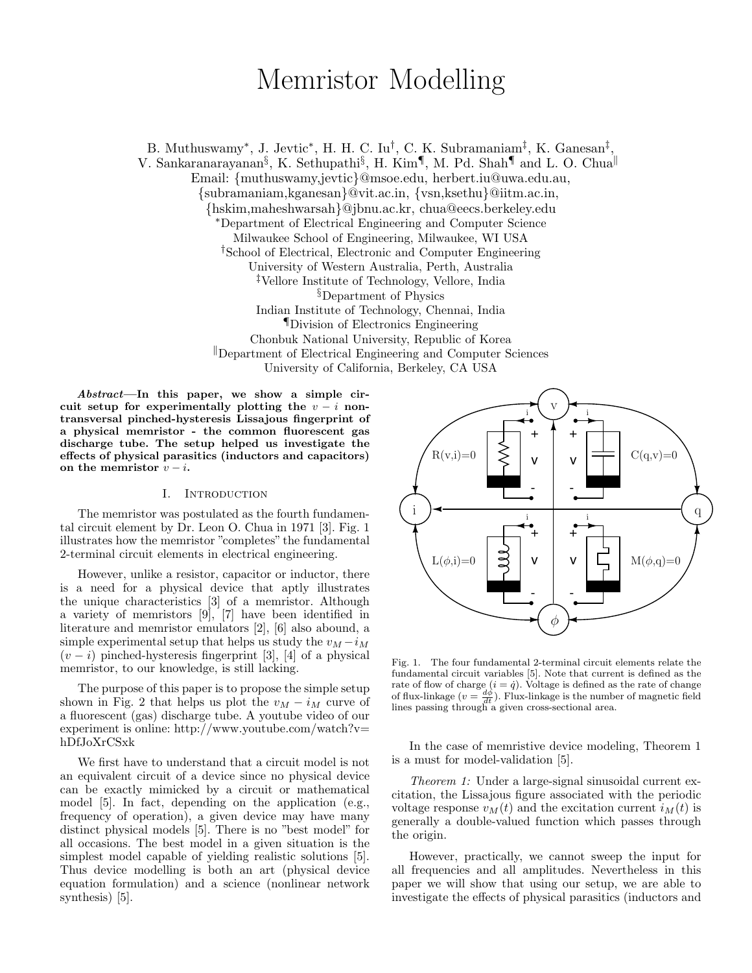# Memristor Modelling

B. Muthuswamy<sup>\*</sup>, J. Jevtic<sup>\*</sup>, H. H. C. Iu<sup>†</sup>, C. K. Subramaniam<sup>‡</sup>, K. Ganesan<sup>‡</sup>, V. Sankaranarayanan $\S$ , K. Sethupathi $\S$ , H. Kim $\P$ , M. Pd. Shah $\P$  and L. O. Chua $\P$ Email: {muthuswamy,jevtic}@msoe.edu, herbert.iu@uwa.edu.au, {subramaniam,kganesan}@vit.ac.in, {vsn,ksethu}@iitm.ac.in, {hskim,maheshwarsah}@jbnu.ac.kr, chua@eecs.berkeley.edu <sup>∗</sup>Department of Electrical Engineering and Computer Science Milwaukee School of Engineering, Milwaukee, WI USA †School of Electrical, Electronic and Computer Engineering University of Western Australia, Perth, Australia ‡Vellore Institute of Technology, Vellore, India §Department of Physics Indian Institute of Technology, Chennai, India ¶Division of Electronics Engineering Chonbuk National University, Republic of Korea <sup>k</sup>Department of Electrical Engineering and Computer Sciences University of California, Berkeley, CA USA

Abstract—In this paper, we show a simple circuit setup for experimentally plotting the  $v - i$  nontransversal pinched-hysteresis Lissajous fingerprint of a physical memristor - the common fluorescent gas discharge tube. The setup helped us investigate the effects of physical parasitics (inductors and capacitors) on the memristor  $v - i$ .

## I. Introduction

The memristor was postulated as the fourth fundamental circuit element by Dr. Leon O. Chua in 1971 [3]. Fig. 1 illustrates how the memristor "completes" the fundamental 2-terminal circuit elements in electrical engineering.

However, unlike a resistor, capacitor or inductor, there is a need for a physical device that aptly illustrates the unique characteristics [3] of a memristor. Although a variety of memristors  $[9]$ ,  $[7]$  have been identified in literature and memristor emulators [2], [6] also abound, a simple experimental setup that helps us study the  $v_M - i_M$  $(v - i)$  pinched-hysteresis fingerprint [3], [4] of a physical memristor, to our knowledge, is still lacking.

The purpose of this paper is to propose the simple setup shown in Fig. 2 that helps us plot the  $v_M - i_M$  curve of a fluorescent (gas) discharge tube. A youtube video of our experiment is online: http://www.youtube.com/watch?v= hDfJoXrCSxk

We first have to understand that a circuit model is not an equivalent circuit of a device since no physical device can be exactly mimicked by a circuit or mathematical model [5]. In fact, depending on the application (e.g., frequency of operation), a given device may have many distinct physical models [5]. There is no "best model" for all occasions. The best model in a given situation is the simplest model capable of yielding realistic solutions [5]. Thus device modelling is both an art (physical device equation formulation) and a science (nonlinear network synthesis) [5].



Fig. 1. The four fundamental 2-terminal circuit elements relate the fundamental circuit variables [5]. Note that current is defined as the rate of flow of charge  $(i = \dot{q})$ . Voltage is defined as the rate of change of flux-linkage  $(v = \frac{d\phi}{dt})$ . Flux-linkage is the number of magnetic field lines passing through a given cross-sectional area.

In the case of memristive device modeling, Theorem 1 is a must for model-validation [5].

Theorem 1: Under a large-signal sinusoidal current excitation, the Lissajous figure associated with the periodic voltage response  $v_M(t)$  and the excitation current  $i_M(t)$  is generally a double-valued function which passes through the origin.

However, practically, we cannot sweep the input for all frequencies and all amplitudes. Nevertheless in this paper we will show that using our setup, we are able to investigate the effects of physical parasitics (inductors and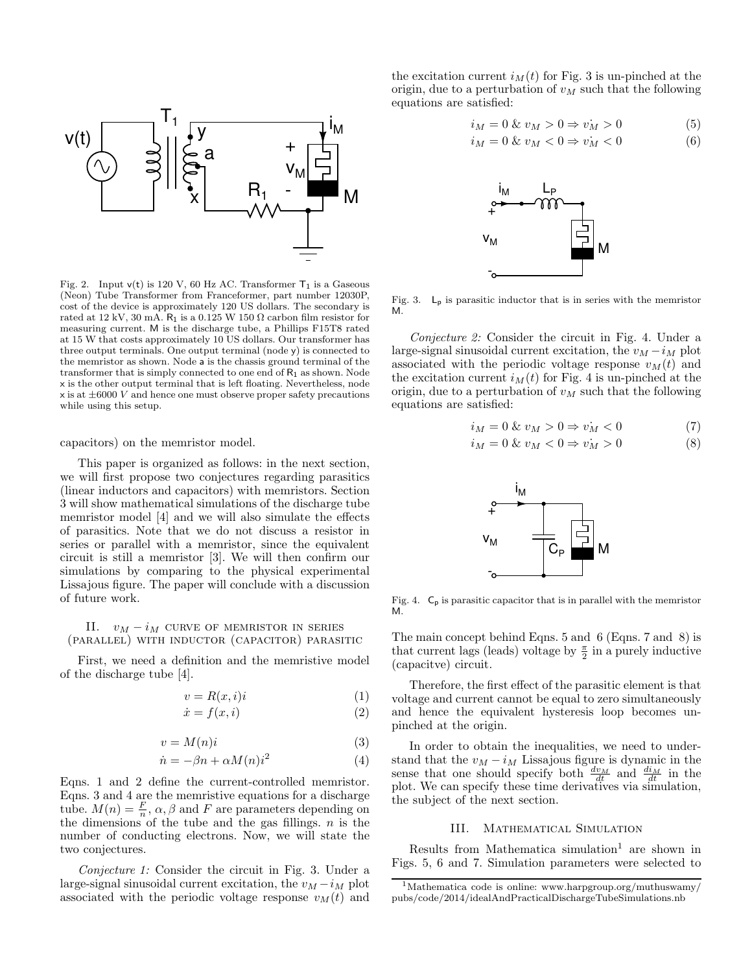

Fig. 2. Input  $v(t)$  is 120 V, 60 Hz AC. Transformer  $T_1$  is a Gaseous (Neon) Tube Transformer from Franceformer, part number 12030P, cost of the device is approximately 120 US dollars. The secondary is rated at 12 kV, 30 mA.  $R_1$  is a 0.125 W 150  $\Omega$  carbon film resistor for measuring current. M is the discharge tube, a Phillips F15T8 rated at 15 W that costs approximately 10 US dollars. Our transformer has three output terminals. One output terminal (node y) is connected to the memristor as shown. Node a is the chassis ground terminal of the transformer that is simply connected to one end of  $R_1$  as shown. Node x is the other output terminal that is left floating. Nevertheless, node  $x$  is at  $\pm 6000$  V and hence one must observe proper safety precautions while using this setup.

capacitors) on the memristor model.

This paper is organized as follows: in the next section, we will first propose two conjectures regarding parasitics (linear inductors and capacitors) with memristors. Section 3 will show mathematical simulations of the discharge tube memristor model [4] and we will also simulate the effects of parasitics. Note that we do not discuss a resistor in series or parallel with a memristor, since the equivalent circuit is still a memristor [3]. We will then confirm our simulations by comparing to the physical experimental Lissajous figure. The paper will conclude with a discussion of future work.

## II.  $v_M - i_M$  curve of memristor in series (parallel) with inductor (capacitor) parasitic

First, we need a definition and the memristive model of the discharge tube [4].

$$
v = R(x, i)i \tag{1}
$$

$$
\dot{x} = f(x, i) \tag{2}
$$

$$
v = M(n)i \tag{3}
$$

$$
\dot{n} = -\beta n + \alpha M(n) i^2 \tag{4}
$$

Eqns. 1 and 2 define the current-controlled memristor. Eqns. 3 and 4 are the memristive equations for a discharge tube.  $M(n) = \frac{F}{n}$ ,  $\alpha, \beta$  and F are parameters depending on the dimensions of the tube and the gas fillings.  $n$  is the number of conducting electrons. Now, we will state the two conjectures.

Conjecture 1: Consider the circuit in Fig. 3. Under a large-signal sinusoidal current excitation, the  $v_M - i_M$  plot associated with the periodic voltage response  $v_M(t)$  and the excitation current  $i_M(t)$  for Fig. 3 is un-pinched at the origin, due to a perturbation of  $v_M$  such that the following equations are satisfied:

$$
i_M = 0 \& v_M > 0 \Rightarrow v_M > 0 \tag{5}
$$

$$
i_M = 0 \& v_M < 0 \Rightarrow v_M < 0 \tag{6}
$$



Fig. 3.  $\mathsf{L}_{\mathsf{p}}$  is parasitic inductor that is in series with the memristor M.

Conjecture 2: Consider the circuit in Fig. 4. Under a large-signal sinusoidal current excitation, the  $v_M - i_M$  plot associated with the periodic voltage response  $v_M(t)$  and the excitation current  $i_M(t)$  for Fig. 4 is un-pinched at the origin, due to a perturbation of  $v_M$  such that the following equations are satisfied:

$$
i_M = 0 \& v_M > 0 \Rightarrow v_M < 0 \tag{7}
$$

$$
i_M = 0 \& v_M < 0 \Rightarrow v_M > 0 \tag{8}
$$



Fig. 4.  $C_p$  is parasitic capacitor that is in parallel with the memristor M.

The main concept behind Eqns. 5 and 6 (Eqns. 7 and 8) is that current lags (leads) voltage by  $\frac{\pi}{2}$  in a purely inductive (capacitve) circuit.

Therefore, the first effect of the parasitic element is that voltage and current cannot be equal to zero simultaneously and hence the equivalent hysteresis loop becomes unpinched at the origin.

In order to obtain the inequalities, we need to understand that the  $v_M - i_M$  Lissajous figure is dynamic in the sense that one should specify both  $\frac{dv_M}{dt}$  and  $\frac{di_M}{dt}$  in the plot. We can specify these time derivatives via simulation, the subject of the next section.

### III. Mathematical Simulation

Results from Mathematica simulation<sup>1</sup> are shown in Figs. 5, 6 and 7. Simulation parameters were selected to

<sup>1</sup>Mathematica code is online: www.harpgroup.org/muthuswamy/ pubs/code/2014/idealAndPracticalDischargeTubeSimulations.nb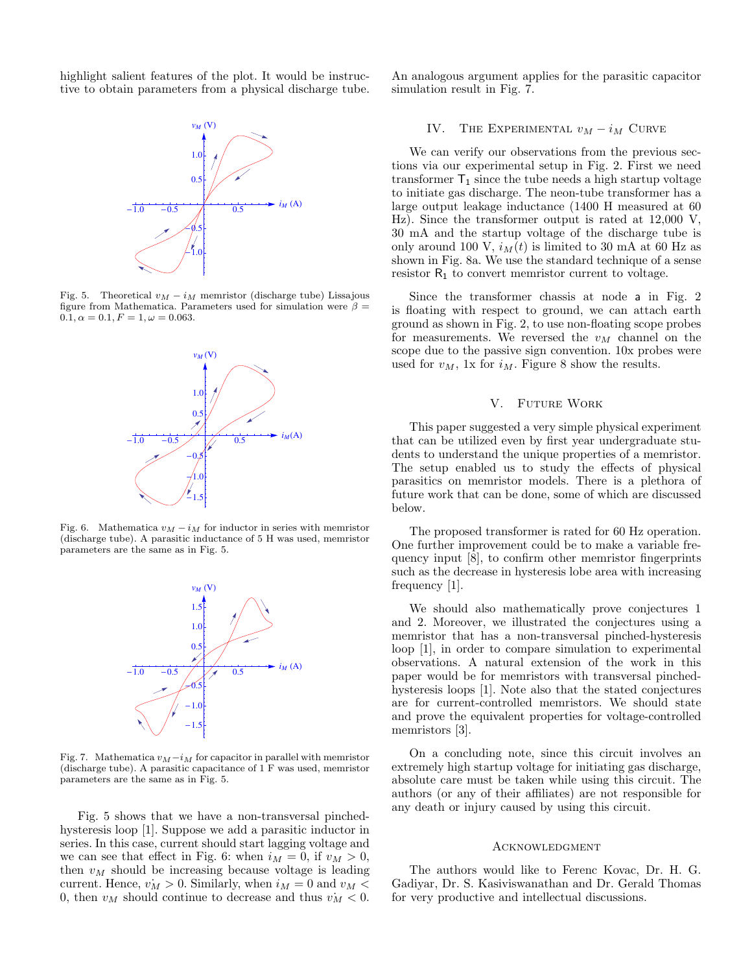highlight salient features of the plot. It would be instructive to obtain parameters from a physical discharge tube.



Fig. 5. Theoretical  $v_M - i_M$  memristor (discharge tube) Lissajous figure from Mathematica. Parameters used for simulation were  $\beta =$  $0.1, \alpha = 0.1, F = 1, \omega = 0.063.$ 



Fig. 6. Mathematica  $v_M - i_M$  for inductor in series with memristor (discharge tube). A parasitic inductance of 5 H was used, memristor parameters are the same as in Fig. 5.



Fig. 7. Mathematica  $v_M-i_M$  for capacitor in parallel with memristor (discharge tube). A parasitic capacitance of 1 F was used, memristor parameters are the same as in Fig. 5.

Fig. 5 shows that we have a non-transversal pinchedhysteresis loop [1]. Suppose we add a parasitic inductor in series. In this case, current should start lagging voltage and we can see that effect in Fig. 6: when  $i_M = 0$ , if  $v_M > 0$ , then  $v_M$  should be increasing because voltage is leading current. Hence,  $\dot{v_M} > 0$ . Similarly, when  $i_M = 0$  and  $v_M <$ 0, then  $v_M$  should continue to decrease and thus  $v_M < 0$ .

An analogous argument applies for the parasitic capacitor simulation result in Fig. 7.

#### IV. THE EXPERIMENTAL  $v_M - i_M$  CURVE

We can verify our observations from the previous sections via our experimental setup in Fig. 2. First we need transformer  $T_1$  since the tube needs a high startup voltage to initiate gas discharge. The neon-tube transformer has a large output leakage inductance (1400 H measured at 60 Hz). Since the transformer output is rated at 12,000 V, 30 mA and the startup voltage of the discharge tube is only around 100 V,  $i_M(t)$  is limited to 30 mA at 60 Hz as shown in Fig. 8a. We use the standard technique of a sense resistor  $R_1$  to convert memristor current to voltage.

Since the transformer chassis at node a in Fig. 2 is floating with respect to ground, we can attach earth ground as shown in Fig. 2, to use non-floating scope probes for measurements. We reversed the  $v_M$  channel on the scope due to the passive sign convention. 10x probes were used for  $v_M$ , 1x for  $i_M$ . Figure 8 show the results.

#### V. Future Work

This paper suggested a very simple physical experiment that can be utilized even by first year undergraduate students to understand the unique properties of a memristor. The setup enabled us to study the effects of physical parasitics on memristor models. There is a plethora of future work that can be done, some of which are discussed below.

The proposed transformer is rated for 60 Hz operation. One further improvement could be to make a variable frequency input [8], to confirm other memristor fingerprints such as the decrease in hysteresis lobe area with increasing frequency [1].

We should also mathematically prove conjectures 1 and 2. Moreover, we illustrated the conjectures using a memristor that has a non-transversal pinched-hysteresis loop [1], in order to compare simulation to experimental observations. A natural extension of the work in this paper would be for memristors with transversal pinchedhysteresis loops [1]. Note also that the stated conjectures are for current-controlled memristors. We should state and prove the equivalent properties for voltage-controlled memristors [3].

On a concluding note, since this circuit involves an extremely high startup voltage for initiating gas discharge, absolute care must be taken while using this circuit. The authors (or any of their affiliates) are not responsible for any death or injury caused by using this circuit.

#### **ACKNOWLEDGMENT**

The authors would like to Ferenc Kovac, Dr. H. G. Gadiyar, Dr. S. Kasiviswanathan and Dr. Gerald Thomas for very productive and intellectual discussions.